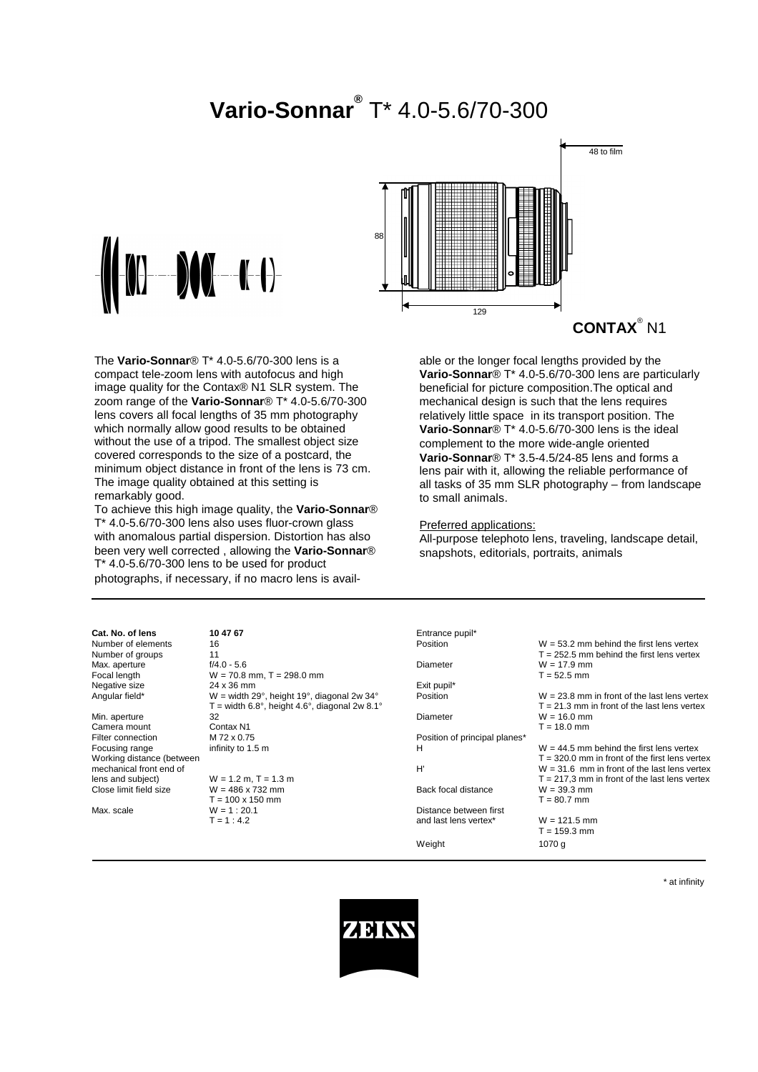# **Vario-Sonnar®** T\* 4.0-5.6/70-300



48 to film 129 88 **CONTAX**® N1

The **Vario-Sonnar**® T\* 4.0-5.6/70-300 lens is a compact tele-zoom lens with autofocus and high image quality for the Contax® N1 SLR system. The zoom range of the **Vario-Sonnar**® T\* 4.0-5.6/70-300 lens covers all focal lengths of 35 mm photography which normally allow good results to be obtained without the use of a tripod. The smallest object size covered corresponds to the size of a postcard, the minimum object distance in front of the lens is 73 cm. The image quality obtained at this setting is remarkably good.

To achieve this high image quality, the **Vario-Sonnar**® T\* 4.0-5.6/70-300 lens also uses fluor-crown glass with anomalous partial dispersion. Distortion has also been very well corrected , allowing the **Vario-Sonnar**® T\* 4.0-5.6/70-300 lens to be used for product photographs, if necessary, if no macro lens is available or the longer focal lengths provided by the **Vario-Sonnar**® T\* 4.0-5.6/70-300 lens are particularly beneficial for picture composition.The optical and mechanical design is such that the lens requires relatively little space in its transport position. The **Vario-Sonnar**® T\* 4.0-5.6/70-300 lens is the ideal complement to the more wide-angle oriented **Vario-Sonnar**® T\* 3.5-4.5/24-85 lens and forms a lens pair with it, allowing the reliable performance of all tasks of 35 mm SLR photography – from landscape to small animals.

#### Preferred applications:

All-purpose telephoto lens, traveling, landscape detail, snapshots, editorials, portraits, animals

| Cat. No. of lens          | 10 47 67                                      | Entrance pupil*               |                  |
|---------------------------|-----------------------------------------------|-------------------------------|------------------|
| Number of elements        | 16                                            | Position                      | $W = 53.2$ mm b  |
| Number of groups          | 11                                            |                               | $T = 252.5$ mm I |
| Max. aperture             | $f/4.0 - 5.6$                                 | Diameter                      | $W = 17.9$ mm    |
| Focal length              | $W = 70.8$ mm, T = 298.0 mm                   |                               | $T = 52.5$ mm    |
| Negative size             | 24 x 36 mm                                    | Exit pupil*                   |                  |
| Angular field*            | $W =$ width 29°, height 19°, diagonal 2w 34°  | Position                      | $W = 23.8$ mm i  |
|                           | T = width 6.8°, height 4.6°, diagonal 2w 8.1° |                               | $T = 21.3$ mm in |
| Min. aperture             | 32                                            | Diameter                      | $W = 16.0$ mm    |
| Camera mount              | Contax N1                                     |                               | $T = 18.0$ mm    |
| Filter connection         | M 72 x 0.75                                   | Position of principal planes* |                  |
| Focusing range            | infinity to 1.5 m                             | н                             | $W = 44.5$ mm b  |
| Working distance (between |                                               |                               | $T = 320.0$ mm i |
| mechanical front end of   |                                               | H'                            | $W = 31.6$ mm    |
| lens and subject)         | $W = 1.2$ m, T = 1.3 m                        |                               | $T = 217.3$ mm i |
| Close limit field size    | $W = 486 \times 732$ mm                       | Back focal distance           | $W = 39.3$ mm    |
|                           | $T = 100 \times 150$ mm                       |                               | $T = 80.7$ mm    |
| Max. scale                | $W = 1:20.1$                                  | Distance between first        |                  |
|                           | $T = 1:4.2$                                   | and last lens vertex*         | $W = 121.5$ mm   |
|                           |                                               |                               |                  |

| Cat. No. of lens          | 10 47 67                                      | Entrance pupil*               |                                                  |
|---------------------------|-----------------------------------------------|-------------------------------|--------------------------------------------------|
| Number of elements        | 16                                            | Position                      | $W = 53.2$ mm behind the first lens vertex       |
| Number of groups          | 11                                            |                               | $T = 252.5$ mm behind the first lens vertex      |
| Max. aperture             | $f/4.0 - 5.6$                                 | Diameter                      | $W = 17.9$ mm                                    |
| Focal length              | $W = 70.8$ mm, T = 298.0 mm                   |                               | $T = 52.5$ mm                                    |
| Negative size             | 24 x 36 mm                                    | Exit pupil*                   |                                                  |
| Angular field*            | W = width 29°, height 19°, diagonal 2w 34°    | Position                      | $W = 23.8$ mm in front of the last lens vertex   |
|                           | T = width 6.8°, height 4.6°, diagonal 2w 8.1° |                               | $T = 21.3$ mm in front of the last lens vertex   |
| Min. aperture             | 32                                            | Diameter                      | $W = 16.0$ mm                                    |
| Camera mount              | Contax N1                                     |                               | $T = 18.0$ mm                                    |
| Filter connection         | M 72 x 0.75                                   | Position of principal planes* |                                                  |
| Focusing range            | infinity to 1.5 m                             | н                             | $W = 44.5$ mm behind the first lens vertex       |
| Working distance (between |                                               |                               | $T = 320.0$ mm in front of the first lens vertex |
| mechanical front end of   |                                               | H'                            | $W = 31.6$ mm in front of the last lens vertex   |
| lens and subject)         | $W = 1.2$ m, T = 1.3 m                        |                               | $T = 217.3$ mm in front of the last lens vertex  |
| Close limit field size    | $W = 486 \times 732$ mm                       | Back focal distance           | $W = 39.3$ mm                                    |
|                           | $T = 100 \times 150$ mm                       |                               | $T = 80.7$ mm                                    |
| Max. scale                | $W = 1:20.1$                                  | Distance between first        |                                                  |
|                           | $T = 1:4.2$                                   | and last lens vertex*         | $W = 121.5$ mm                                   |
|                           |                                               |                               | $T = 159.3$ mm                                   |
|                           |                                               | Weight                        | 1070 g                                           |

\* at infinity

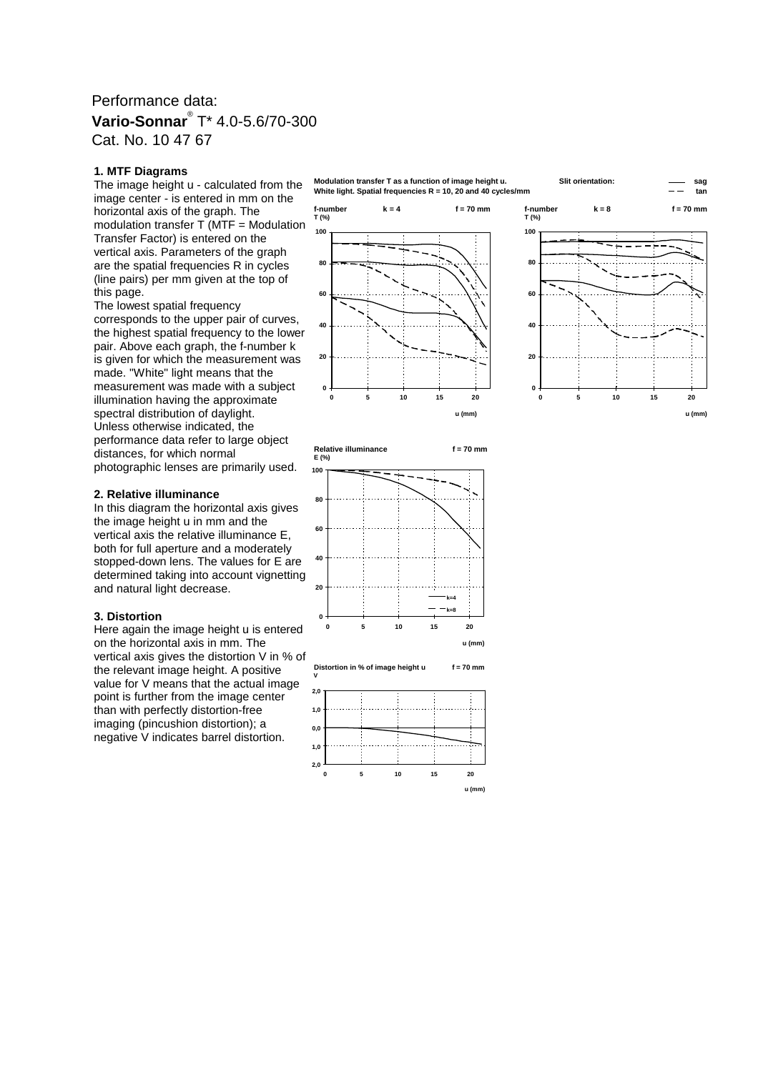### Performance data: **Vario-Sonnar**® T\* 4.0-5.6/70-300 Cat. No. 10 47 67

#### **1. MTF Diagrams**

The image height u - calculated from the image center - is entered in mm on the horizontal axis of the graph. The modulation transfer  $T$  (MTF = Modulation Transfer Factor) is entered on the vertical axis. Parameters of the graph are the spatial frequencies R in cycles (line pairs) per mm given at the top of this page.

The lowest spatial frequency corresponds to the upper pair of curves, the highest spatial frequency to the lower pair. Above each graph, the f-number k is given for which the measurement was made. "White" light means that the measurement was made with a subject illumination having the approximate spectral distribution of daylight. Unless otherwise indicated, the performance data refer to large object distances, for which normal photographic lenses are primarily used.

#### **2. Relative illuminance**

In this diagram the horizontal axis gives the image height u in mm and the vertical axis the relative illuminance E, both for full aperture and a moderately stopped-down lens. The values for E are determined taking into account vignetting and natural light decrease.

#### **3. Distortion**

Here again the image height u is entered on the horizontal axis in mm. The vertical axis gives the distortion V in % of the relevant image height. A positive value for V means that the actual image point is further from the image center than with perfectly distortion-free imaging (pincushion distortion); a negative V indicates barrel distortion.

**Modulation transfer T as a function of image height u. Slit orientation: sag White light. Spatial frequencies R = 10, 20 and 40 cycles/mm tan**







**Relative illuminance f = 70 mm E (%)**



**u (mm)**

**Distortion in % of image height u f = 70 mm**

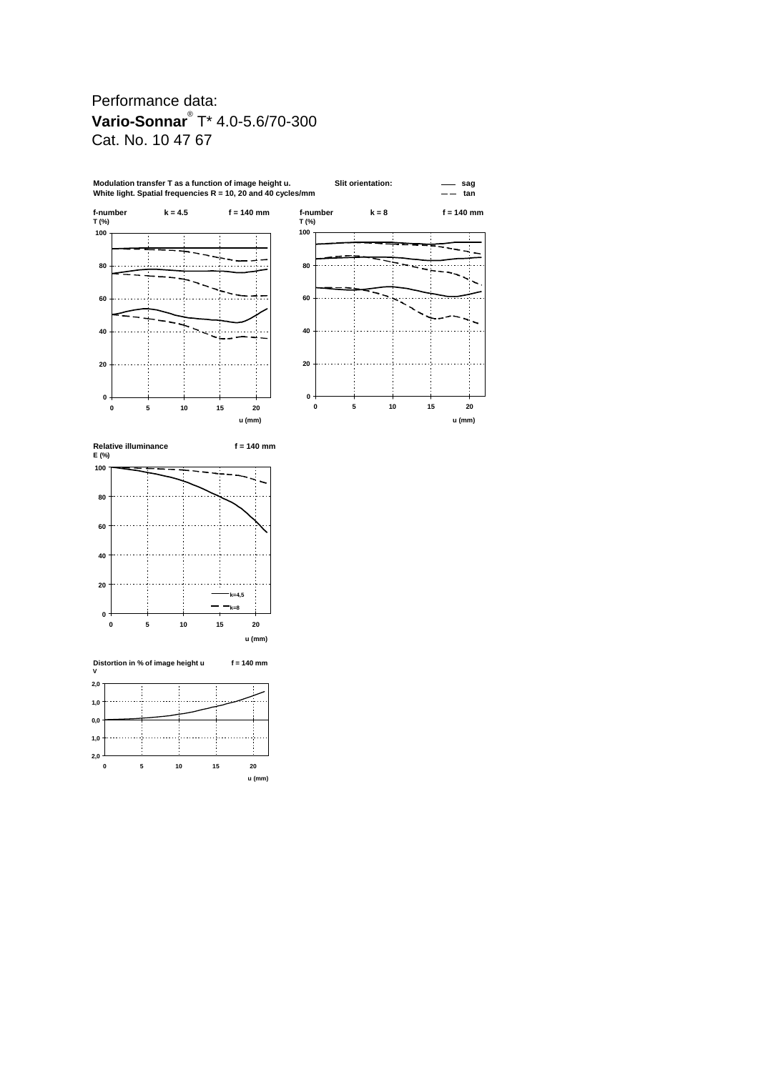# Performance data: **Vario-Sonnar**® T\* 4.0-5.6/70-300 Cat. No. 10 47 67